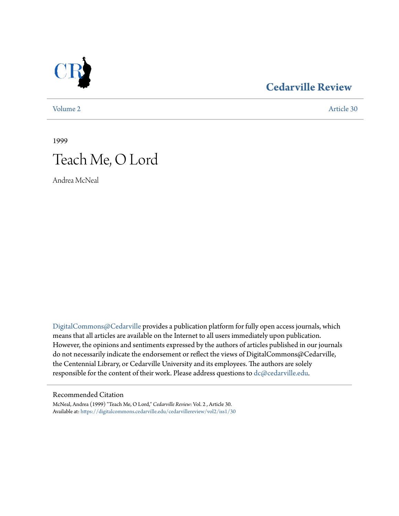

### **[Cedarville Review](https://digitalcommons.cedarville.edu/cedarvillereview?utm_source=digitalcommons.cedarville.edu%2Fcedarvillereview%2Fvol2%2Fiss1%2F30&utm_medium=PDF&utm_campaign=PDFCoverPages)**

[Volume 2](https://digitalcommons.cedarville.edu/cedarvillereview/vol2?utm_source=digitalcommons.cedarville.edu%2Fcedarvillereview%2Fvol2%2Fiss1%2F30&utm_medium=PDF&utm_campaign=PDFCoverPages) [Article 30](https://digitalcommons.cedarville.edu/cedarvillereview/vol2/iss1/30?utm_source=digitalcommons.cedarville.edu%2Fcedarvillereview%2Fvol2%2Fiss1%2F30&utm_medium=PDF&utm_campaign=PDFCoverPages)

1999

# Teach Me, O Lord

Andrea McNeal

[DigitalCommons@Cedarville](http://digitalcommons.cedarville.edu) provides a publication platform for fully open access journals, which means that all articles are available on the Internet to all users immediately upon publication. However, the opinions and sentiments expressed by the authors of articles published in our journals do not necessarily indicate the endorsement or reflect the views of DigitalCommons@Cedarville, the Centennial Library, or Cedarville University and its employees. The authors are solely responsible for the content of their work. Please address questions to [dc@cedarville.edu](mailto:dc@cedarville.edu).

#### Recommended Citation

McNeal, Andrea (1999) "Teach Me, O Lord," *Cedarville Review*: Vol. 2 , Article 30. Available at: [https://digitalcommons.cedarville.edu/cedarvillereview/vol2/iss1/30](https://digitalcommons.cedarville.edu/cedarvillereview/vol2/iss1/30?utm_source=digitalcommons.cedarville.edu%2Fcedarvillereview%2Fvol2%2Fiss1%2F30&utm_medium=PDF&utm_campaign=PDFCoverPages)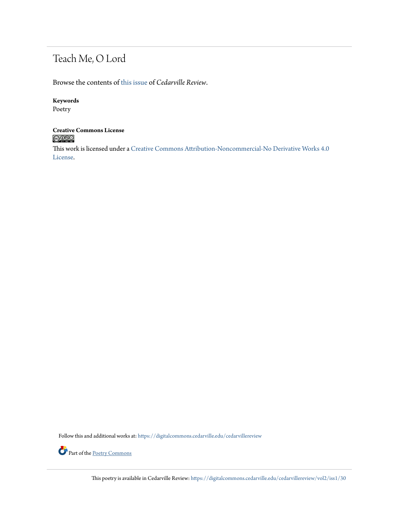## Teach Me, O Lord

Browse the contents of [this issue](https://digitalcommons.cedarville.edu/cedarvillereview/vol2/iss1) of *Cedarville Review*.

#### **Keywords**

Poetry

# **Creative Commons License**<br> **C** 000

This work is licensed under a [Creative Commons Attribution-Noncommercial-No Derivative Works 4.0](http://creativecommons.org/licenses/by-nc-nd/4.0/) [License.](http://creativecommons.org/licenses/by-nc-nd/4.0/)

Follow this and additional works at: [https://digitalcommons.cedarville.edu/cedarvillereview](https://digitalcommons.cedarville.edu/cedarvillereview?utm_source=digitalcommons.cedarville.edu%2Fcedarvillereview%2Fvol2%2Fiss1%2F30&utm_medium=PDF&utm_campaign=PDFCoverPages)



This poetry is available in Cedarville Review: [https://digitalcommons.cedarville.edu/cedarvillereview/vol2/iss1/30](https://digitalcommons.cedarville.edu/cedarvillereview/vol2/iss1/30?utm_source=digitalcommons.cedarville.edu%2Fcedarvillereview%2Fvol2%2Fiss1%2F30&utm_medium=PDF&utm_campaign=PDFCoverPages)